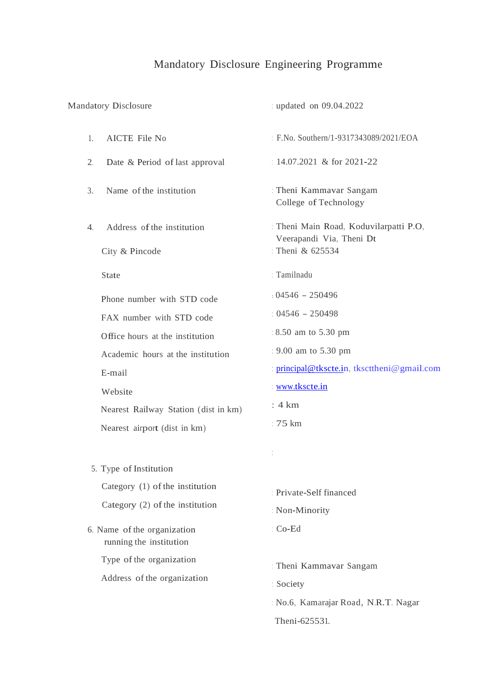# Mandatory Disclosure Engineering Programme

| <b>Mandatory Disclosure</b>                                                                                                                                                                                                 | : updated on 09.04.2022                                                                                                                                                                 |
|-----------------------------------------------------------------------------------------------------------------------------------------------------------------------------------------------------------------------------|-----------------------------------------------------------------------------------------------------------------------------------------------------------------------------------------|
| 1.<br>AICTE File No                                                                                                                                                                                                         | : F.No. Southern/1-9317343089/2021/EOA                                                                                                                                                  |
| 2.<br>Date & Period of last approval                                                                                                                                                                                        | : $14.07.2021$ & for 2021-22                                                                                                                                                            |
| Name of the institution<br>3.                                                                                                                                                                                               | : Theni Kammavar Sangam<br>College of Technology                                                                                                                                        |
| Address of the institution<br>4.<br>City & Pincode                                                                                                                                                                          | : Theni Main Road, Koduvilarpatti P.O,<br>Veerapandi Via, Theni Dt<br>Theni & 625534                                                                                                    |
| State                                                                                                                                                                                                                       | : Tamilnadu                                                                                                                                                                             |
| Phone number with STD code<br>FAX number with STD code<br>Office hours at the institution<br>Academic hours at the institution<br>E-mail<br>Website<br>Nearest Railway Station (dist in km)<br>Nearest airport (dist in km) | $: 04546 - 250496$<br>$: 04546 - 250498$<br>: 8.50 am to 5.30 pm<br>: 9.00 am to 5.30 pm<br>: principal@tkscte.in, tkscttheni@gmail.com<br>www.tkscte.in<br>: 4 km<br>: $75 \text{ km}$ |
| 5. Type of Institution<br>Category (1) of the institution<br>Category (2) of the institution<br>6. Name of the organization<br>running the institution                                                                      | Private-Self financed<br>: Non-Minority<br>: Co-Ed                                                                                                                                      |
| Type of the organization<br>Address of the organization                                                                                                                                                                     | : Theni Kammavar Sangam<br>: Society<br>: No.6, Kamarajar Road, N.R.T. Nagar<br>Theni-625531.                                                                                           |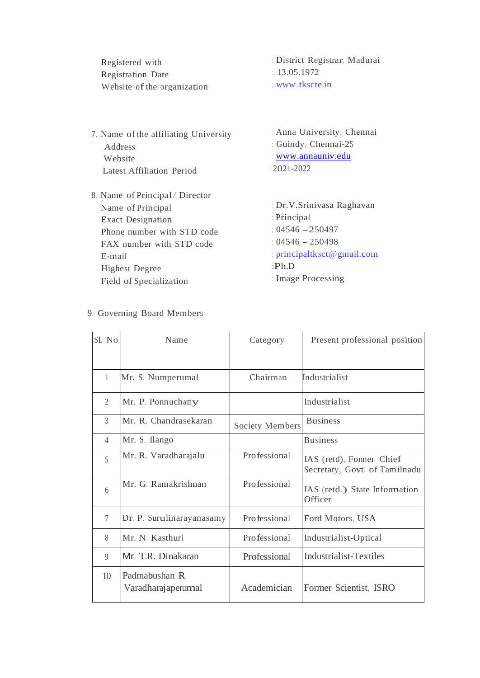| Registered with             | District Registrar, Madurai |
|-----------------------------|-----------------------------|
| <b>Registration Date</b>    | 13.05.1972                  |
| Website of the organization | www.tkscte.in               |
|                             |                             |

- 7. Name of the affiliating University Address Website Latest Affiliation Period
- 8. Name of Principal/ Director Name of Principal Exact Designation Phone number with STD code FAX number with STD code E-mail Highest Degree Field of Specialization

: Anna University, Chennai : Guindy, Chennai-25 : [www.annauniv.edu](http://www.annauniv.edu/) : 2021-2022

: Dr.V.Srinivasa Raghavan : Principal :  $04546 - 250497$ : 04546 - <sup>250498</sup> : [principaltksct@gmail.com](mailto:principaltksct@gmail.com) :Ph.D : Image Processing

| SL No.         | Name                                 | Category               | Present professional position                             |
|----------------|--------------------------------------|------------------------|-----------------------------------------------------------|
|                |                                      |                        |                                                           |
| $\mathbf{1}$   | Mr. S. Numperumal                    | Chairman               | Industrialist                                             |
| $\overline{2}$ | Mr. P. Ponnuchamy                    |                        | Industrialist                                             |
| $\overline{3}$ | Mr. R. Chandrasekaran                | <b>Society Members</b> | <b>Business</b>                                           |
| 4              | Mr. S. Ilango                        |                        | <b>Business</b>                                           |
| 5              | Mr. R. Varadharajalu                 | Professional           | IAS (retd), Fonner Chief<br>Secretary, Govt. of Tamilnadu |
| $\sqrt{2}$     | Mr. G. Ramakrishnan                  | Professional           | IAS (retd.) State Information<br>Officer                  |
| $\tau$         | Dr. P. Surulinarayanasamy            | Professional           | Ford Motors, USA                                          |
| 8              | Mr. N. Kasthuri                      | Professional           | Industrialist-Optical                                     |
| 9              | Mr. T.R. Dinakaran                   | Professional           | <b>Industrialist-Textiles</b>                             |
| 10             | Padmabushan R.<br>Varadharajaperumal | Academician            | Former Scientist, ISRO                                    |

#### 9. Governing Board Members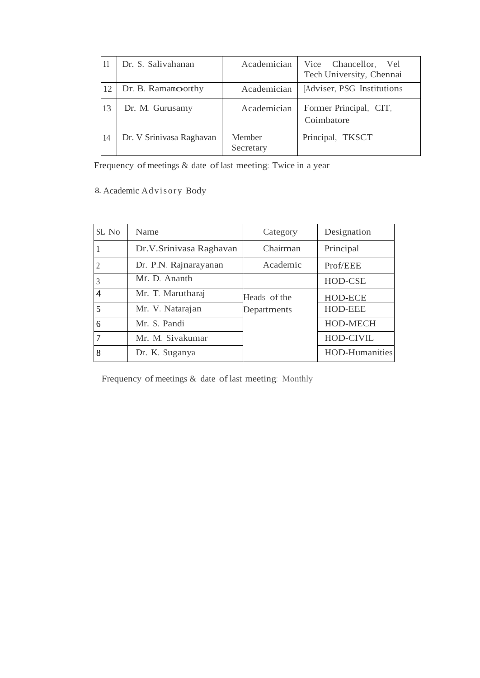| 11 | Dr. S. Salivahanan       | Academician         | Vice Chancellor, Vel<br>Tech University, Chennai |
|----|--------------------------|---------------------|--------------------------------------------------|
| 12 | Dr. B. Ramamoorthy       | Academician         | [Adviser, PSG Institutions]                      |
| 13 | Dr. M. Gurusamy          | Academician         | Former Principal, CIT,<br>Coimbatore             |
| 14 | Dr. V Srinivasa Raghavan | Member<br>Secretary | Principal, TKSCT                                 |

Frequency of meetings & date of last meeting: Twice in a year

8. Academic Ad visory Body

| SL No | Name                    | Category     | Designation           |
|-------|-------------------------|--------------|-----------------------|
|       | Dr.V.Srinivasa Raghavan | Chairman     | Principal             |
|       | Dr. P.N. Rajnarayanan   | Academic     | Prof/EEE              |
|       | Mr. D. Ananth           |              | HOD-CSE               |
| 4     | Mr. T. Marutharaj       | Heads of the | HOD-ECE               |
| 5     | Mr. V. Natarajan        | Departments  | HOD-EEE               |
| 6     | Mr. S. Pandi            |              | HOD-MECH              |
|       | Mr. M. Sivakumar        |              | HOD-CIVIL             |
| 8     | Dr. K. Suganya          |              | <b>HOD-Humanities</b> |

Frequency of meetings & date of last meeting: Monthly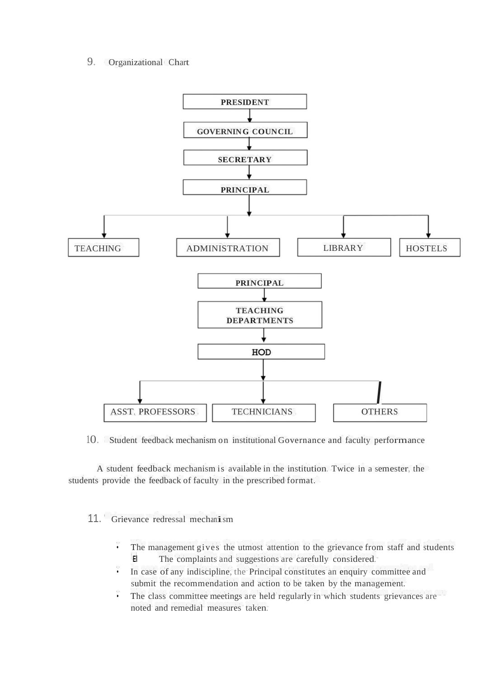#### 9. Organizational Chart



10. Student feedback mechanism on institutional Governance and faculty performance

A student feedback mechanism is available in the institution. Twice in a semester, the students provide the feedback of faculty in the prescribed format.

## 11. Grievance redressal mechanism

- The management gives the utmost attention to the grievance from staff and students **El** The complaints and suggestions are carefully considered.
- In case of any indiscipline, the Principal constitutes an enquiry committee and submit the recommendation and action to be taken by the management.
- The class committee meetings are held regularly in which students grievances are noted and remedial measures taken.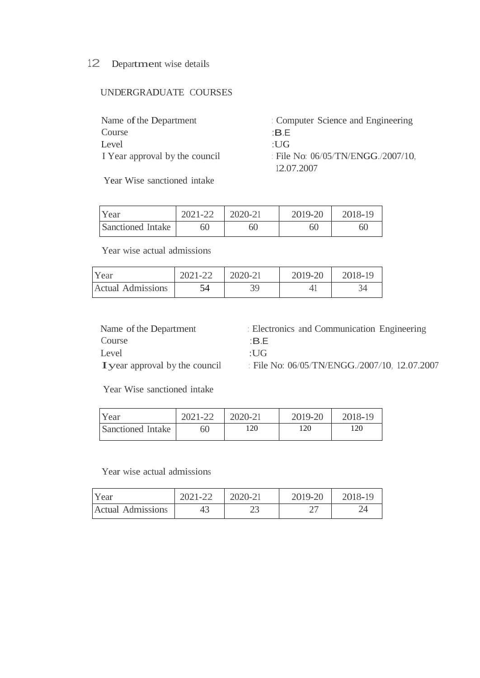## 12 Department wise details

## UNDERGRADUATE COURSES

| Name of the Department         | : Computer Science and Engineering |
|--------------------------------|------------------------------------|
| Course                         | ∸B.F                               |
| Level                          | $\cdot$ UG                         |
| I Year approval by the council | : File No: 06/05/TN/ENGG./2007/10. |
|                                | 12.07.2007                         |

Year Wise sanctioned intake

| Year              | 2021-22 | 2020-21 | 2019-20 | 2018-19 |
|-------------------|---------|---------|---------|---------|
| Sanctioned Intake | 60      | 60      | 60      | 60      |

Year wise actual admissions

| Year                     | 2021-22 | 2020-21 | 2019-20 | 2018-19 |
|--------------------------|---------|---------|---------|---------|
| <b>Actual Admissions</b> |         |         |         |         |

Name of the Department Course Level Iyear approval by the council : Electronics and Communication Engineering :B.E

:UG

: File No: 06/05/TN/ENGG./2007/10, 12.07.2007

Year Wise sanctioned intake

| Year              | 2021-22 | 2020-21 | 2019-20 | 2018-19 |
|-------------------|---------|---------|---------|---------|
| Sanctioned Intake | 60      | 120     | 120     | 120     |

Year wise actual admissions

| Year                     | 2021-22 | 2020-21 | 2019-20 | 2018-19 |
|--------------------------|---------|---------|---------|---------|
| <b>Actual Admissions</b> | 43      | ل       |         | 24      |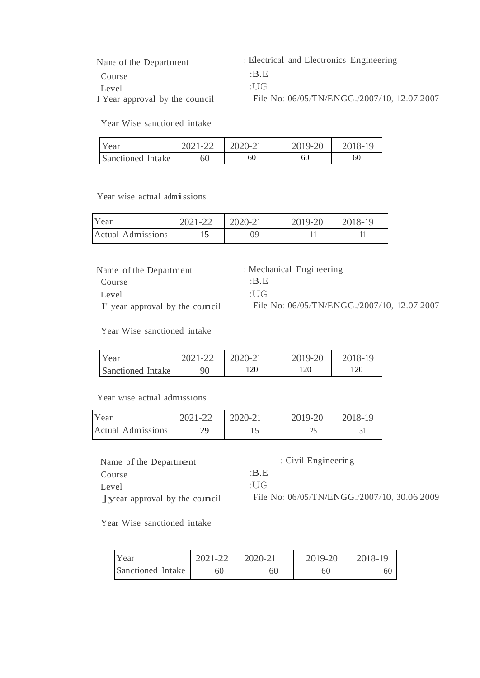| Name of the Department         | : Electrical and Electronics Engineering         |
|--------------------------------|--------------------------------------------------|
| Course                         | $\cdot$ BE                                       |
| Level                          | 'IJG                                             |
| I Year approval by the council | : File No: $06/05/TN/ENGG./2007/10$ , 12.07.2007 |

Year Wise sanctioned intake

| Year              | 2021-22 | 2020-21 | 2019-20 | 2018-19 |
|-------------------|---------|---------|---------|---------|
| Sanctioned Intake | 60      | 60      | 60      | 60      |

Year wise actual admissions

| Year                     | 2021-22 | 2020-21 | 2019-20 | 2018-19 |
|--------------------------|---------|---------|---------|---------|
| <b>Actual Admissions</b> |         | 99      |         |         |

Name of the Department Course Level I" year approval by the council : Mechanical Engineering :B.E :UG : File No: 06/05/TN/ENGG./2007/10, 12.07.2007

Year Wise sanctioned intake

| Year              | 2021-22 | 2020-21 | 2019-20 | 2018-19 |
|-------------------|---------|---------|---------|---------|
| Sanctioned Intake | 90      | 120     | 120     | 120     |

Year wise actual admissions

| Year                     | 2021-22 | 2020-21 | 2019-20 | 2018-19 |
|--------------------------|---------|---------|---------|---------|
| <b>Actual Admissions</b> | 70      |         |         |         |

| Name of the Department               | Civil Engineering                                |
|--------------------------------------|--------------------------------------------------|
| Course                               | $\cdot$ BE                                       |
| Level                                | 'I IG                                            |
| <b>Tyear approval by the council</b> | : File No: $06/05/TN/ENGG$ ./2007/10, 30.06.2009 |

Year Wise sanctioned intake

| Year              | 2021-22 | 2020-21 | 2019-20 | 2018-19 |
|-------------------|---------|---------|---------|---------|
| Sanctioned Intake | 60      | 60      | 60      | 60      |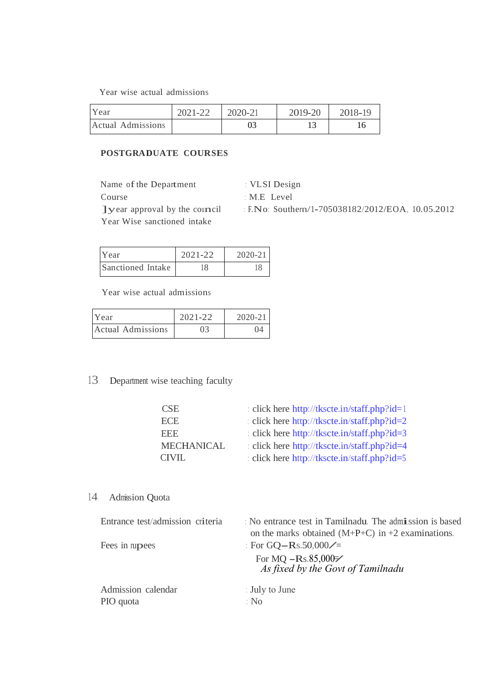Year wise actual admissions

| Year              | 2021-22 | 2020-21 | 2019-20 | 2018-19 |
|-------------------|---------|---------|---------|---------|
| Actual Admissions |         |         |         |         |

### **POSTGRADUATE COURSES**

Name of the Department Course ]year approval by the council Year Wise sanctioned intake

: VLSI Design

: M.E Level

: F.No: Southern/1-705038182/2012/EOA, 10.05.2012

| Year              | $2021 - 22$ | $2020 - 21$ |
|-------------------|-------------|-------------|
| Sanctioned Intake |             |             |

Year wise actual admissions

| Year              | $2021 - 22$ | $2020 - 21$ |
|-------------------|-------------|-------------|
| Actual Admissions | 03          | 04          |

13. Department wise teaching faculty

| <b>CSE</b>        | : click here http://tkscte.in/staff.php?id=1 |
|-------------------|----------------------------------------------|
| <b>ECE</b>        | : click here http://tkscte.in/staff.php?id=2 |
| <b>EEE</b>        | : click here http://tkscte.in/staff.php?id=3 |
| <b>MECHANICAL</b> | : click here http://tkscte.in/staff.php?id=4 |
| <b>CIVIL</b>      | : click here http://tkscte.in/staff.php?id=5 |
|                   |                                              |

14. Admission Quota

| Entrance test/admission criteria | No entrance test in Tamilnadu. The admission is based                               |
|----------------------------------|-------------------------------------------------------------------------------------|
|                                  | on the marks obtained $(M+P+C)$ in +2 examinations.                                 |
| Fees in rupees                   | : For GQ-Rs.50,000/=                                                                |
|                                  | For MQ $-Rs.85,000 \n\overline{\smash{\succ}}$<br>As fixed by the Govt of Tamilnadu |
| Admission calendar               | : July to June                                                                      |
| PIO quota                        | : No                                                                                |